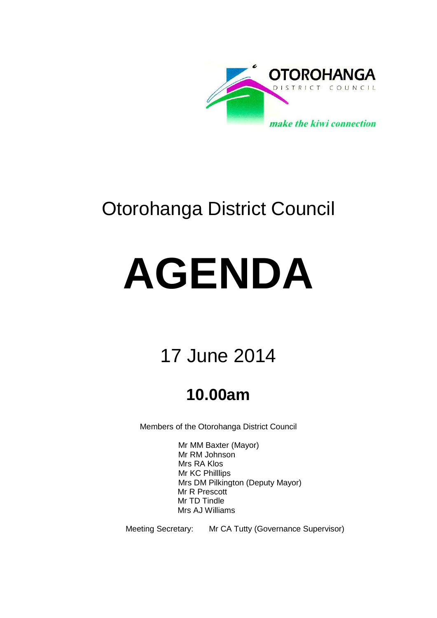

## Otorohanga District Council

# **AGENDA**

## 17 June 2014

## **10.00am**

Members of the Otorohanga District Council

Mr MM Baxter (Mayor) Mr RM Johnson Mrs RA Klos Mr KC Philllips Mrs DM Pilkington (Deputy Mayor) Mr R Prescott Mr TD Tindle Mrs AJ Williams

Meeting Secretary: Mr CA Tutty (Governance Supervisor)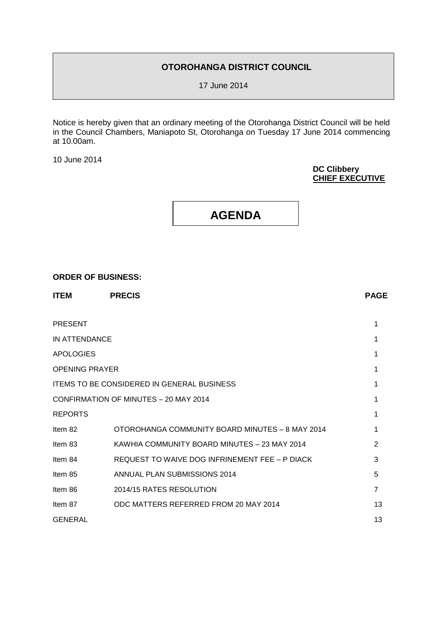#### **OTOROHANGA DISTRICT COUNCIL**

17 June 2014

Notice is hereby given that an ordinary meeting of the Otorohanga District Council will be held in the Council Chambers, Maniapoto St, Otorohanga on Tuesday 17 June 2014 commencing at 10.00am.

10 June 2014

#### **DC Clibbery CHIEF EXECUTIVE**



#### **ORDER OF BUSINESS:**

| <b>PRESENT</b>                                    |                                                 |                |
|---------------------------------------------------|-------------------------------------------------|----------------|
| IN ATTENDANCE                                     |                                                 |                |
| <b>APOLOGIES</b>                                  |                                                 |                |
| <b>OPENING PRAYER</b>                             |                                                 |                |
| <b>ITEMS TO BE CONSIDERED IN GENERAL BUSINESS</b> |                                                 |                |
| CONFIRMATION OF MINUTES - 20 MAY 2014             |                                                 |                |
| <b>REPORTS</b>                                    |                                                 |                |
| Item 82                                           | OTOROHANGA COMMUNITY BOARD MINUTES - 8 MAY 2014 |                |
| Item 83                                           | KAWHIA COMMUNITY BOARD MINUTES - 23 MAY 2014    | 2              |
| Item 84                                           | REQUEST TO WAIVE DOG INFRINEMENT FEE - P DIACK  | 3              |
| Item 85                                           | ANNUAL PLAN SUBMISSIONS 2014                    | 5              |
| Item 86                                           | 2014/15 RATES RESOLUTION                        | $\overline{7}$ |
| Item 87                                           | ODC MATTERS REFERRED FROM 20 MAY 2014           | 13             |
| GENERAL                                           |                                                 | 13             |

**ITEM PRECIS PAGE**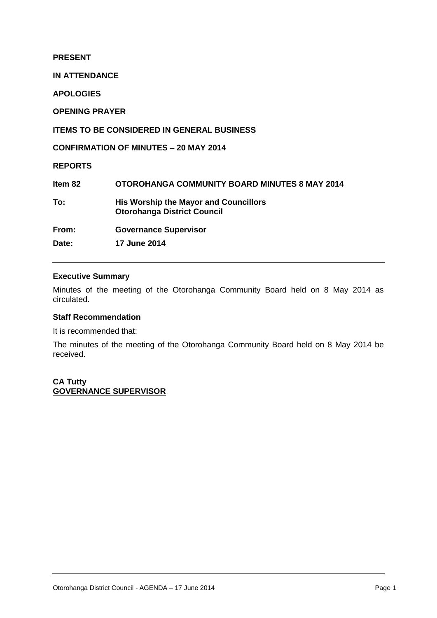**PRESENT**

**IN ATTENDANCE**

**APOLOGIES**

**OPENING PRAYER**

**ITEMS TO BE CONSIDERED IN GENERAL BUSINESS**

**CONFIRMATION OF MINUTES – 20 MAY 2014**

**REPORTS**

| Item 82 | <b>OTOROHANGA COMMUNITY BOARD MINUTES 8 MAY 2014</b>                               |
|---------|------------------------------------------------------------------------------------|
| To:     | <b>His Worship the Mayor and Councillors</b><br><b>Otorohanga District Council</b> |
| From:   | <b>Governance Supervisor</b>                                                       |
| Date:   | <b>17 June 2014</b>                                                                |

#### **Executive Summary**

Minutes of the meeting of the Otorohanga Community Board held on 8 May 2014 as circulated.

#### **Staff Recommendation**

It is recommended that:

The minutes of the meeting of the Otorohanga Community Board held on 8 May 2014 be received.

**CA Tutty GOVERNANCE SUPERVISOR**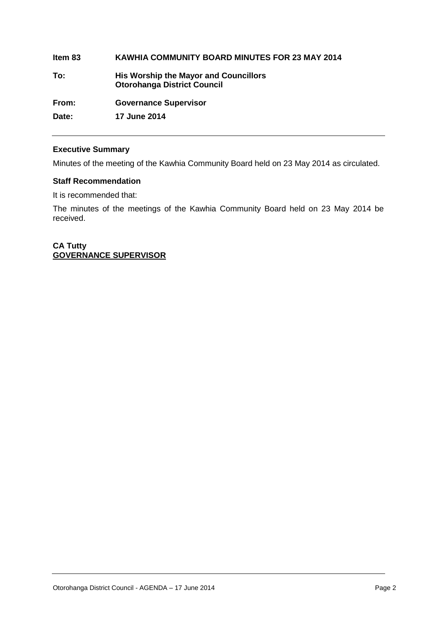### **Item 83 KAWHIA COMMUNITY BOARD MINUTES FOR 23 MAY 2014 To: His Worship the Mayor and Councillors Otorohanga District Council From: Governance Supervisor Date: 17 June 2014**

#### **Executive Summary**

Minutes of the meeting of the Kawhia Community Board held on 23 May 2014 as circulated.

#### **Staff Recommendation**

It is recommended that:

The minutes of the meetings of the Kawhia Community Board held on 23 May 2014 be received.

**CA Tutty GOVERNANCE SUPERVISOR**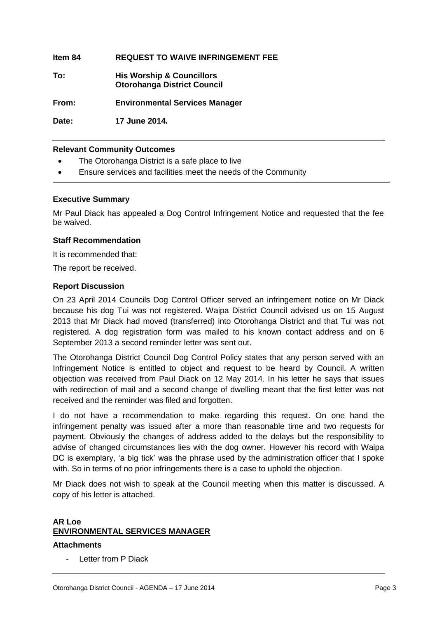**Item 84 REQUEST TO WAIVE INFRINGEMENT FEE**

**To: His Worship & Councillors Otorohanga District Council**

**From: Environmental Services Manager**

**Date: 17 June 2014.**

#### **Relevant Community Outcomes**

- The Otorohanga District is a safe place to live
- Ensure services and facilities meet the needs of the Community

#### **Executive Summary**

Mr Paul Diack has appealed a Dog Control Infringement Notice and requested that the fee be waived.

#### **Staff Recommendation**

It is recommended that:

The report be received.

#### **Report Discussion**

On 23 April 2014 Councils Dog Control Officer served an infringement notice on Mr Diack because his dog Tui was not registered. Waipa District Council advised us on 15 August 2013 that Mr Diack had moved (transferred) into Otorohanga District and that Tui was not registered. A dog registration form was mailed to his known contact address and on 6 September 2013 a second reminder letter was sent out.

The Otorohanga District Council Dog Control Policy states that any person served with an Infringement Notice is entitled to object and request to be heard by Council. A written objection was received from Paul Diack on 12 May 2014. In his letter he says that issues with redirection of mail and a second change of dwelling meant that the first letter was not received and the reminder was filed and forgotten.

I do not have a recommendation to make regarding this request. On one hand the infringement penalty was issued after a more than reasonable time and two requests for payment. Obviously the changes of address added to the delays but the responsibility to advise of changed circumstances lies with the dog owner. However his record with Waipa DC is exemplary, 'a big tick' was the phrase used by the administration officer that I spoke with. So in terms of no prior infringements there is a case to uphold the objection.

Mr Diack does not wish to speak at the Council meeting when this matter is discussed. A copy of his letter is attached.

#### **AR Loe ENVIRONMENTAL SERVICES MANAGER**

#### **Attachments**

Letter from P Diack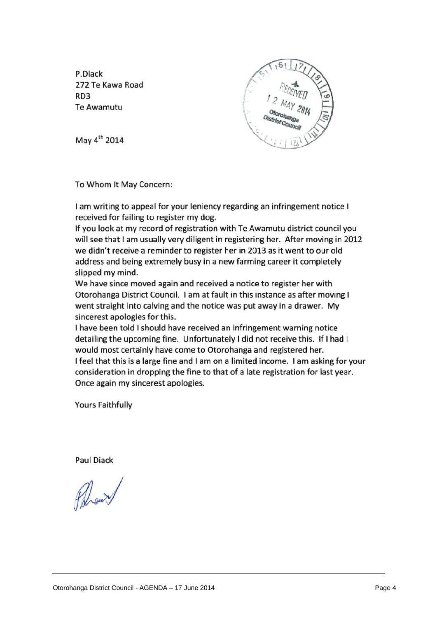P.Diack 272 Te Kawa Road RD<sub>3</sub> **Te Awamutu** 



May 4<sup>th</sup> 2014

To Whom It May Concern:

I am writing to appeal for your leniency regarding an infringement notice I received for failing to register my dog.

If you look at my record of registration with Te Awamutu district council you will see that I am usually very diligent in registering her. After moving in 2012 we didn't receive a reminder to register her in 2013 as it went to our old address and being extremely busy in a new farming career it completely slipped my mind.

We have since moved again and received a notice to register her with Otorohanga District Council. I am at fault in this instance as after moving I went straight into calving and the notice was put away in a drawer. My sincerest apologies for this.

I have been told I should have received an infringement warning notice detailing the upcoming fine. Unfortunately I did not receive this. If I had I would most certainly have come to Otorohanga and registered her. I feel that this is a large fine and I am on a limited income. I am asking for your consideration in dropping the fine to that of a late registration for last year. Once again my sincerest apologies.

**Yours Faithfully** 

**Paul Diack**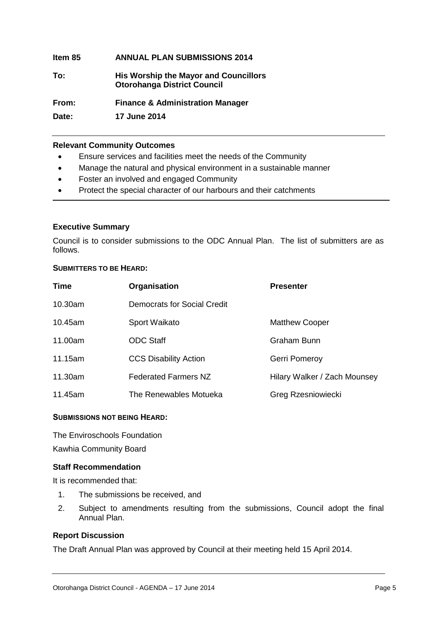| ltem 85 | <b>ANNUAL PLAN SUBMISSIONS 2014</b>                                                |
|---------|------------------------------------------------------------------------------------|
| To:     | <b>His Worship the Mayor and Councillors</b><br><b>Otorohanga District Council</b> |
| From:   | <b>Finance &amp; Administration Manager</b>                                        |
| Date:   | <b>17 June 2014</b>                                                                |

#### **Relevant Community Outcomes**

- Ensure services and facilities meet the needs of the Community
- Manage the natural and physical environment in a sustainable manner
- Foster an involved and engaged Community
- Protect the special character of our harbours and their catchments

#### **Executive Summary**

Council is to consider submissions to the ODC Annual Plan. The list of submitters are as follows.

#### **SUBMITTERS TO BE HEARD:**

| <b>Time</b> | Organisation                 | <b>Presenter</b>             |
|-------------|------------------------------|------------------------------|
| 10.30am     | Democrats for Social Credit  |                              |
| 10.45am     | Sport Waikato                | <b>Matthew Cooper</b>        |
| 11.00am     | <b>ODC Staff</b>             | Graham Bunn                  |
| 11.15am     | <b>CCS Disability Action</b> | Gerri Pomeroy                |
| 11.30am     | <b>Federated Farmers NZ</b>  | Hilary Walker / Zach Mounsey |
| 11.45am     | The Renewables Motueka       | Greg Rzesniowiecki           |

#### **SUBMISSIONS NOT BEING HEARD:**

The Enviroschools Foundation Kawhia Community Board

#### **Staff Recommendation**

It is recommended that:

- 1. The submissions be received, and
- 2. Subject to amendments resulting from the submissions, Council adopt the final Annual Plan.

#### **Report Discussion**

The Draft Annual Plan was approved by Council at their meeting held 15 April 2014.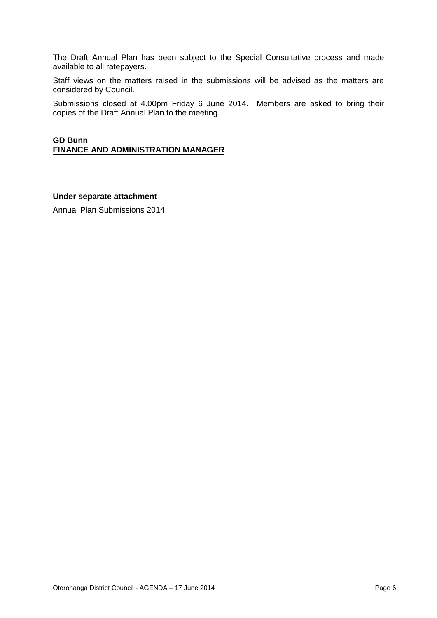The Draft Annual Plan has been subject to the Special Consultative process and made available to all ratepayers.

Staff views on the matters raised in the submissions will be advised as the matters are considered by Council.

Submissions closed at 4.00pm Friday 6 June 2014. Members are asked to bring their copies of the Draft Annual Plan to the meeting.

#### **GD Bunn FINANCE AND ADMINISTRATION MANAGER**

#### **Under separate attachment**

Annual Plan Submissions 2014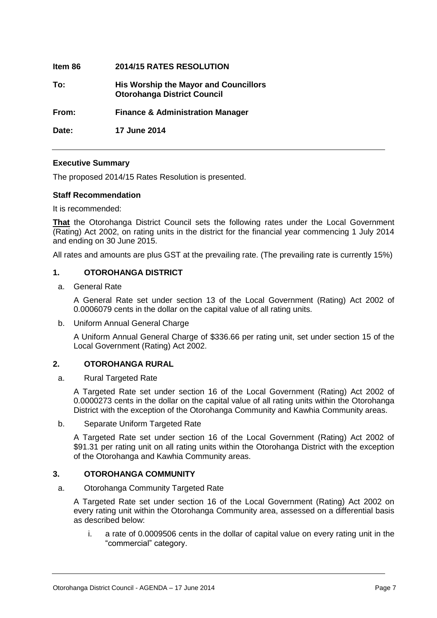| ltem 86 | <b>2014/15 RATES RESOLUTION</b>                                                    |
|---------|------------------------------------------------------------------------------------|
| To:     | <b>His Worship the Mayor and Councillors</b><br><b>Otorohanga District Council</b> |
| From:   | <b>Finance &amp; Administration Manager</b>                                        |
| Date:   | <b>17 June 2014</b>                                                                |

#### **Executive Summary**

The proposed 2014/15 Rates Resolution is presented.

#### **Staff Recommendation**

It is recommended:

**That** the Otorohanga District Council sets the following rates under the Local Government (Rating) Act 2002, on rating units in the district for the financial year commencing 1 July 2014 and ending on 30 June 2015.

All rates and amounts are plus GST at the prevailing rate. (The prevailing rate is currently 15%)

#### **1. OTOROHANGA DISTRICT**

a. General Rate

A General Rate set under section 13 of the Local Government (Rating) Act 2002 of 0.0006079 cents in the dollar on the capital value of all rating units.

b. Uniform Annual General Charge

A Uniform Annual General Charge of \$336.66 per rating unit, set under section 15 of the Local Government (Rating) Act 2002.

#### **2. OTOROHANGA RURAL**

a. Rural Targeted Rate

A Targeted Rate set under section 16 of the Local Government (Rating) Act 2002 of 0.0000273 cents in the dollar on the capital value of all rating units within the Otorohanga District with the exception of the Otorohanga Community and Kawhia Community areas.

b. Separate Uniform Targeted Rate

A Targeted Rate set under section 16 of the Local Government (Rating) Act 2002 of \$91.31 per rating unit on all rating units within the Otorohanga District with the exception of the Otorohanga and Kawhia Community areas.

#### **3. OTOROHANGA COMMUNITY**

a. Otorohanga Community Targeted Rate

A Targeted Rate set under section 16 of the Local Government (Rating) Act 2002 on every rating unit within the Otorohanga Community area, assessed on a differential basis as described below:

i. a rate of 0.0009506 cents in the dollar of capital value on every rating unit in the "commercial" category.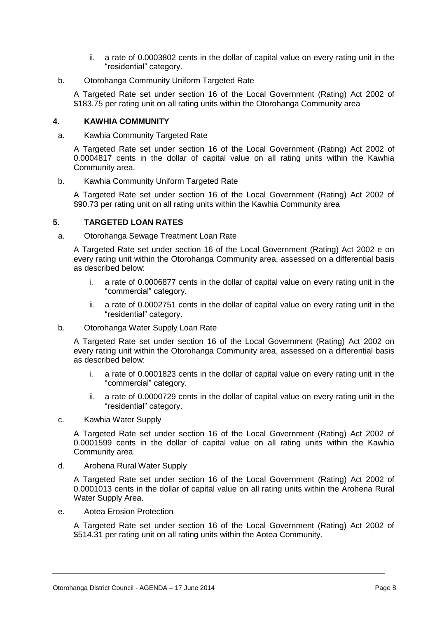- ii. a rate of 0.0003802 cents in the dollar of capital value on every rating unit in the "residential" category.
- b. Otorohanga Community Uniform Targeted Rate

A Targeted Rate set under section 16 of the Local Government (Rating) Act 2002 of \$183.75 per rating unit on all rating units within the Otorohanga Community area

#### **4. KAWHIA COMMUNITY**

a. Kawhia Community Targeted Rate

A Targeted Rate set under section 16 of the Local Government (Rating) Act 2002 of 0.0004817 cents in the dollar of capital value on all rating units within the Kawhia Community area.

b. Kawhia Community Uniform Targeted Rate

A Targeted Rate set under section 16 of the Local Government (Rating) Act 2002 of \$90.73 per rating unit on all rating units within the Kawhia Community area

#### **5. TARGETED LOAN RATES**

a. Otorohanga Sewage Treatment Loan Rate

A Targeted Rate set under section 16 of the Local Government (Rating) Act 2002 e on every rating unit within the Otorohanga Community area, assessed on a differential basis as described below:

- i. a rate of 0.0006877 cents in the dollar of capital value on every rating unit in the "commercial" category.
- ii. a rate of 0.0002751 cents in the dollar of capital value on every rating unit in the "residential" category.
- b. Otorohanga Water Supply Loan Rate

A Targeted Rate set under section 16 of the Local Government (Rating) Act 2002 on every rating unit within the Otorohanga Community area, assessed on a differential basis as described below:

- i. a rate of 0.0001823 cents in the dollar of capital value on every rating unit in the "commercial" category.
- ii. a rate of 0.0000729 cents in the dollar of capital value on every rating unit in the "residential" category.
- c. Kawhia Water Supply

A Targeted Rate set under section 16 of the Local Government (Rating) Act 2002 of 0.0001599 cents in the dollar of capital value on all rating units within the Kawhia Community area.

d. Arohena Rural Water Supply

A Targeted Rate set under section 16 of the Local Government (Rating) Act 2002 of 0.0001013 cents in the dollar of capital value on all rating units within the Arohena Rural Water Supply Area.

e. Aotea Erosion Protection

A Targeted Rate set under section 16 of the Local Government (Rating) Act 2002 of \$514.31 per rating unit on all rating units within the Aotea Community.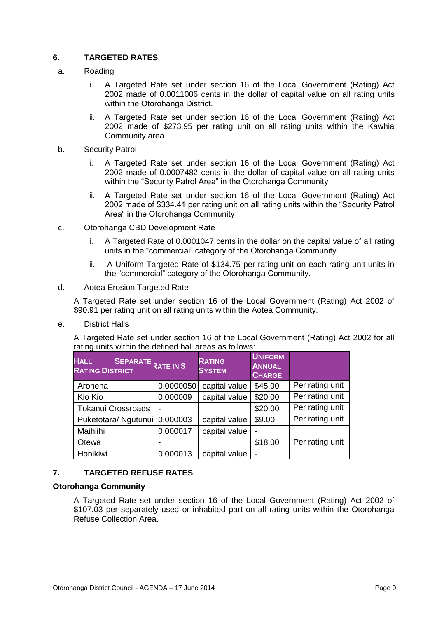#### **6. TARGETED RATES**

- a. Roading
	- i. A Targeted Rate set under section 16 of the Local Government (Rating) Act 2002 made of 0.0011006 cents in the dollar of capital value on all rating units within the Otorohanga District.
	- ii. A Targeted Rate set under section 16 of the Local Government (Rating) Act 2002 made of \$273.95 per rating unit on all rating units within the Kawhia Community area
- b. Security Patrol
	- i. A Targeted Rate set under section 16 of the Local Government (Rating) Act 2002 made of 0.0007482 cents in the dollar of capital value on all rating units within the "Security Patrol Area" in the Otorohanga Community
	- ii. A Targeted Rate set under section 16 of the Local Government (Rating) Act 2002 made of \$334.41 per rating unit on all rating units within the "Security Patrol Area" in the Otorohanga Community
- c. Otorohanga CBD Development Rate
	- i. A Targeted Rate of 0.0001047 cents in the dollar on the capital value of all rating units in the "commercial" category of the Otorohanga Community.
	- ii. A Uniform Targeted Rate of \$134.75 per rating unit on each rating unit units in the "commercial" category of the Otorohanga Community.

#### d. Aotea Erosion Targeted Rate

A Targeted Rate set under section 16 of the Local Government (Rating) Act 2002 of \$90.91 per rating unit on all rating units within the Aotea Community.

e. District Halls

A Targeted Rate set under section 16 of the Local Government (Rating) Act 2002 for all rating units within the defined hall areas as follows:

| <b>HALL</b><br>SEPARATE RATE IN \$<br><b>RATING DISTRICT</b> |           | <b>RATING</b><br><b>SYSTEM</b> | <b>UNIFORM</b><br><b>ANNUAL</b><br><b>CHARGE</b> |                 |
|--------------------------------------------------------------|-----------|--------------------------------|--------------------------------------------------|-----------------|
| Arohena                                                      | 0.0000050 | capital value                  | \$45.00                                          | Per rating unit |
| Kio Kio                                                      | 0.000009  | capital value                  | \$20.00                                          | Per rating unit |
| <b>Tokanui Crossroads</b>                                    |           |                                | \$20.00                                          | Per rating unit |
| Puketotara/ Ngutunui                                         | 0.000003  | capital value                  | \$9.00                                           | Per rating unit |
| Maihiihi                                                     | 0.000017  | capital value                  |                                                  |                 |
| Otewa                                                        |           |                                | \$18.00                                          | Per rating unit |
| Honikiwi                                                     | 0.000013  | capital value                  |                                                  |                 |

#### **7. TARGETED REFUSE RATES**

#### **Otorohanga Community**

A Targeted Rate set under section 16 of the Local Government (Rating) Act 2002 of \$107.03 per separately used or inhabited part on all rating units within the Otorohanga Refuse Collection Area.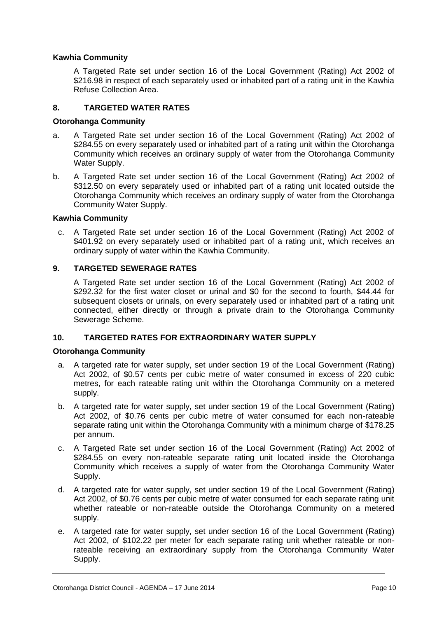#### **Kawhia Community**

A Targeted Rate set under section 16 of the Local Government (Rating) Act 2002 of \$216.98 in respect of each separately used or inhabited part of a rating unit in the Kawhia Refuse Collection Area.

#### **8. TARGETED WATER RATES**

#### **Otorohanga Community**

- a. A Targeted Rate set under section 16 of the Local Government (Rating) Act 2002 of \$284.55 on every separately used or inhabited part of a rating unit within the Otorohanga Community which receives an ordinary supply of water from the Otorohanga Community Water Supply.
- b. A Targeted Rate set under section 16 of the Local Government (Rating) Act 2002 of \$312.50 on every separately used or inhabited part of a rating unit located outside the Otorohanga Community which receives an ordinary supply of water from the Otorohanga Community Water Supply.

#### **Kawhia Community**

c. A Targeted Rate set under section 16 of the Local Government (Rating) Act 2002 of \$401.92 on every separately used or inhabited part of a rating unit, which receives an ordinary supply of water within the Kawhia Community.

#### **9. TARGETED SEWERAGE RATES**

A Targeted Rate set under section 16 of the Local Government (Rating) Act 2002 of \$292.32 for the first water closet or urinal and \$0 for the second to fourth, \$44.44 for subsequent closets or urinals, on every separately used or inhabited part of a rating unit connected, either directly or through a private drain to the Otorohanga Community Sewerage Scheme.

#### **10. TARGETED RATES FOR EXTRAORDINARY WATER SUPPLY**

#### **Otorohanga Community**

- a. A targeted rate for water supply, set under section 19 of the Local Government (Rating) Act 2002, of \$0.57 cents per cubic metre of water consumed in excess of 220 cubic metres, for each rateable rating unit within the Otorohanga Community on a metered supply.
- b. A targeted rate for water supply, set under section 19 of the Local Government (Rating) Act 2002, of \$0.76 cents per cubic metre of water consumed for each non-rateable separate rating unit within the Otorohanga Community with a minimum charge of \$178.25 per annum.
- c. A Targeted Rate set under section 16 of the Local Government (Rating) Act 2002 of \$284.55 on every non-rateable separate rating unit located inside the Otorohanga Community which receives a supply of water from the Otorohanga Community Water Supply.
- d. A targeted rate for water supply, set under section 19 of the Local Government (Rating) Act 2002, of \$0.76 cents per cubic metre of water consumed for each separate rating unit whether rateable or non-rateable outside the Otorohanga Community on a metered supply.
- e. A targeted rate for water supply, set under section 16 of the Local Government (Rating) Act 2002, of \$102.22 per meter for each separate rating unit whether rateable or nonrateable receiving an extraordinary supply from the Otorohanga Community Water Supply.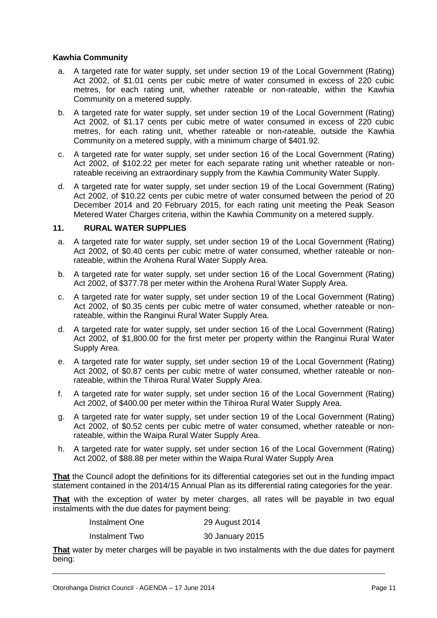#### **Kawhia Community**

- a. A targeted rate for water supply, set under section 19 of the Local Government (Rating) Act 2002, of \$1.01 cents per cubic metre of water consumed in excess of 220 cubic metres, for each rating unit, whether rateable or non-rateable, within the Kawhia Community on a metered supply.
- b. A targeted rate for water supply, set under section 19 of the Local Government (Rating) Act 2002, of \$1.17 cents per cubic metre of water consumed in excess of 220 cubic metres, for each rating unit, whether rateable or non-rateable, outside the Kawhia Community on a metered supply, with a minimum charge of \$401.92.
- c. A targeted rate for water supply, set under section 16 of the Local Government (Rating) Act 2002, of \$102.22 per meter for each separate rating unit whether rateable or nonrateable receiving an extraordinary supply from the Kawhia Community Water Supply.
- d. A targeted rate for water supply, set under section 19 of the Local Government (Rating) Act 2002, of \$10.22 cents per cubic metre of water consumed between the period of 20 December 2014 and 20 February 2015, for each rating unit meeting the Peak Season Metered Water Charges criteria, within the Kawhia Community on a metered supply.

#### **11. RURAL WATER SUPPLIES**

- a. A targeted rate for water supply, set under section 19 of the Local Government (Rating) Act 2002, of \$0.40 cents per cubic metre of water consumed, whether rateable or nonrateable, within the Arohena Rural Water Supply Area.
- b. A targeted rate for water supply, set under section 16 of the Local Government (Rating) Act 2002, of \$377.78 per meter within the Arohena Rural Water Supply Area.
- c. A targeted rate for water supply, set under section 19 of the Local Government (Rating) Act 2002, of \$0.35 cents per cubic metre of water consumed, whether rateable or nonrateable, within the Ranginui Rural Water Supply Area.
- d. A targeted rate for water supply, set under section 16 of the Local Government (Rating) Act 2002, of \$1,800.00 for the first meter per property within the Ranginui Rural Water Supply Area.
- e. A targeted rate for water supply, set under section 19 of the Local Government (Rating) Act 2002, of \$0.87 cents per cubic metre of water consumed, whether rateable or nonrateable, within the Tihiroa Rural Water Supply Area.
- f. A targeted rate for water supply, set under section 16 of the Local Government (Rating) Act 2002, of \$400.00 per meter within the Tihiroa Rural Water Supply Area.
- g. A targeted rate for water supply, set under section 19 of the Local Government (Rating) Act 2002, of \$0.52 cents per cubic metre of water consumed, whether rateable or nonrateable, within the Waipa Rural Water Supply Area.
- h. A targeted rate for water supply, set under section 16 of the Local Government (Rating) Act 2002, of \$88.88 per meter within the Waipa Rural Water Supply Area

**That** the Council adopt the definitions for its differential categories set out in the funding impact statement contained in the 2014/15 Annual Plan as its differential rating categories for the year.

**That** with the exception of water by meter charges, all rates will be payable in two equal instalments with the due dates for payment being:

| Instalment One | 29 August 2014  |
|----------------|-----------------|
| Instalment Two | 30 January 2015 |

**That** water by meter charges will be payable in two instalments with the due dates for payment being: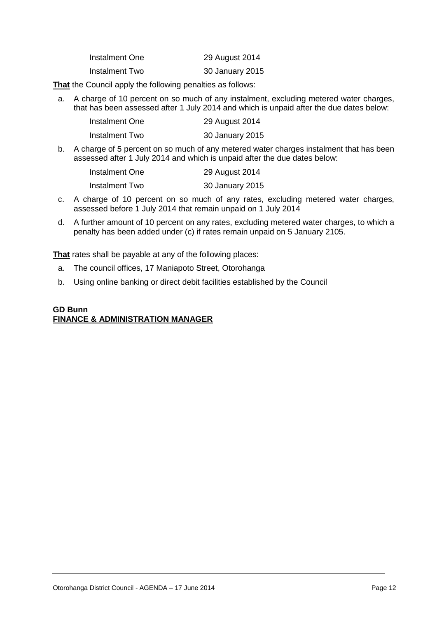| Instalment One | 29 August 2014  |
|----------------|-----------------|
| Instalment Two | 30 January 2015 |

**That** the Council apply the following penalties as follows:

a. A charge of 10 percent on so much of any instalment, excluding metered water charges, that has been assessed after 1 July 2014 and which is unpaid after the due dates below:

| Instalment One | 29 August 2014  |
|----------------|-----------------|
| Instalment Two | 30 January 2015 |

b. A charge of 5 percent on so much of any metered water charges instalment that has been assessed after 1 July 2014 and which is unpaid after the due dates below:

| Instalment One | 29 August 2014  |
|----------------|-----------------|
| Instalment Two | 30 January 2015 |

- c. A charge of 10 percent on so much of any rates, excluding metered water charges, assessed before 1 July 2014 that remain unpaid on 1 July 2014
- d. A further amount of 10 percent on any rates, excluding metered water charges, to which a penalty has been added under (c) if rates remain unpaid on 5 January 2105.

**That** rates shall be payable at any of the following places:

- a. The council offices, 17 Maniapoto Street, Otorohanga
- b. Using online banking or direct debit facilities established by the Council

#### **GD Bunn FINANCE & ADMINISTRATION MANAGER**